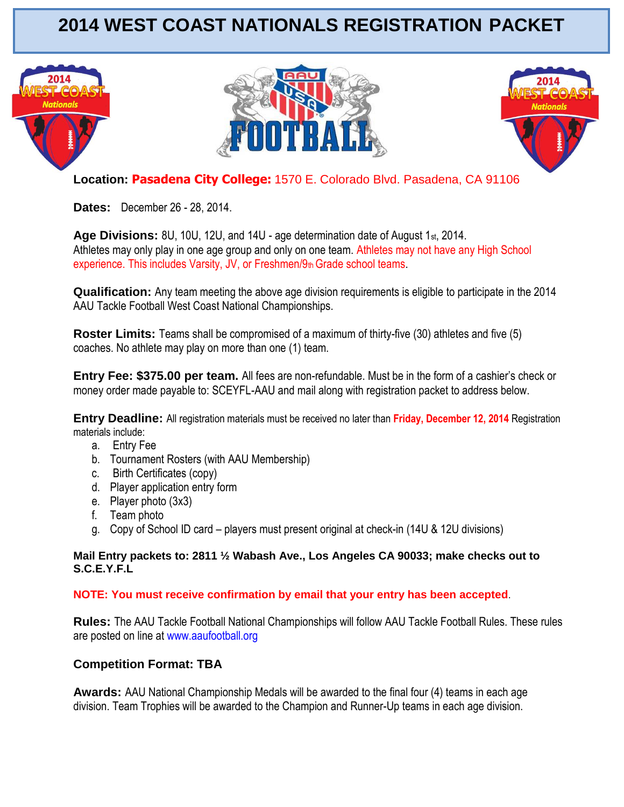# **2014 WEST COAST NATIONALS REGISTRATION PACKET**







**Location: Pasadena City College:** 1570 E. Colorado Blvd. Pasadena, CA 91106

**Dates:** December 26 - 28, 2014.

**Age Divisions:** 8U, 10U, 12U, and 14U - age determination date of August 1st, 2014. Athletes may only play in one age group and only on one team. Athletes may not have any High School experience. This includes Varsity, JV, or Freshmen/9th Grade school teams.

**Qualification:** Any team meeting the above age division requirements is eligible to participate in the 2014 AAU Tackle Football West Coast National Championships.

**Roster Limits:** Teams shall be compromised of a maximum of thirty-five (30) athletes and five (5) coaches. No athlete may play on more than one (1) team.

**Entry Fee: \$375.00 per team.** All fees are non-refundable. Must be in the form of a cashier's check or money order made payable to: SCEYFL-AAU and mail along with registration packet to address below.

**Entry Deadline:** All registration materials must be received no later than **Friday, December 12, 2014** Registration materials include:

- a. Entry Fee
- b. Tournament Rosters (with AAU Membership)
- c. Birth Certificates (copy)
- d. Player application entry form
- e. Player photo (3x3)
- f. Team photo
- g. Copy of School ID card players must present original at check-in (14U & 12U divisions)

#### **Mail Entry packets to: 2811 ½ Wabash Ave., Los Angeles CA 90033; make checks out to S.C.E.Y.F.L**

## **NOTE: You must receive confirmation by email that your entry has been accepted**.

**Rules:** The AAU Tackle Football National Championships will follow AAU Tackle Football Rules. These rules are posted on line at www.aaufootball.org

## **Competition Format: TBA**

**Awards:** AAU National Championship Medals will be awarded to the final four (4) teams in each age division. Team Trophies will be awarded to the Champion and Runner-Up teams in each age division.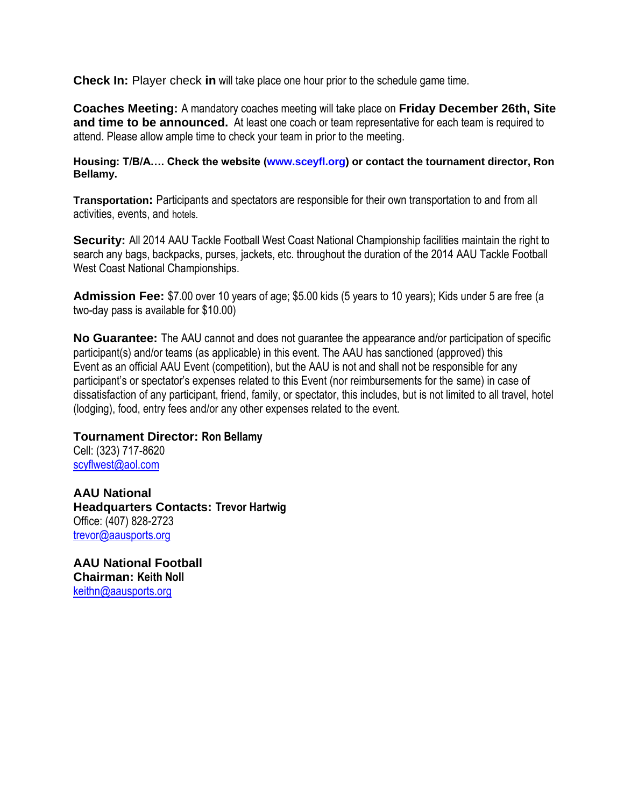**Check In:** Player check **in** will take place one hour prior to the schedule game time.

**Coaches Meeting:** A mandatory coaches meeting will take place on **Friday December 26th, Site and time to be announced.** At least one coach or team representative for each team is required to attend. Please allow ample time to check your team in prior to the meeting.

**Housing: T/B/A…. Check the website (www.sceyfl.org) or contact the tournament director, Ron Bellamy.**

**Transportation:** Participants and spectators are responsible for their own transportation to and from all activities, events, and hotels.

**Security:** All 2014 AAU Tackle Football West Coast National Championship facilities maintain the right to search any bags, backpacks, purses, jackets, etc. throughout the duration of the 2014 AAU Tackle Football West Coast National Championships.

**Admission Fee:** \$7.00 over 10 years of age; \$5.00 kids (5 years to 10 years); Kids under 5 are free (a two-day pass is available for \$10.00)

**No Guarantee:** The AAU cannot and does not guarantee the appearance and/or participation of specific participant(s) and/or teams (as applicable) in this event. The AAU has sanctioned (approved) this Event as an official AAU Event (competition), but the AAU is not and shall not be responsible for any participant's or spectator's expenses related to this Event (nor reimbursements for the same) in case of dissatisfaction of any participant, friend, family, or spectator, this includes, but is not limited to all travel, hotel (lodging), food, entry fees and/or any other expenses related to the event.

**Tournament Director: Ron Bellamy** Cell: (323) 717-8620 [scyflwest@aol.com](mailto:scyflwest@aol.com)

**AAU National Headquarters Contacts: Trevor Hartwig** Office: (407) 828-2723 trevor@aausports.org

**AAU National Football Chairman: Keith Noll** [keithn@aausports.org](mailto:keithn@aausports.org)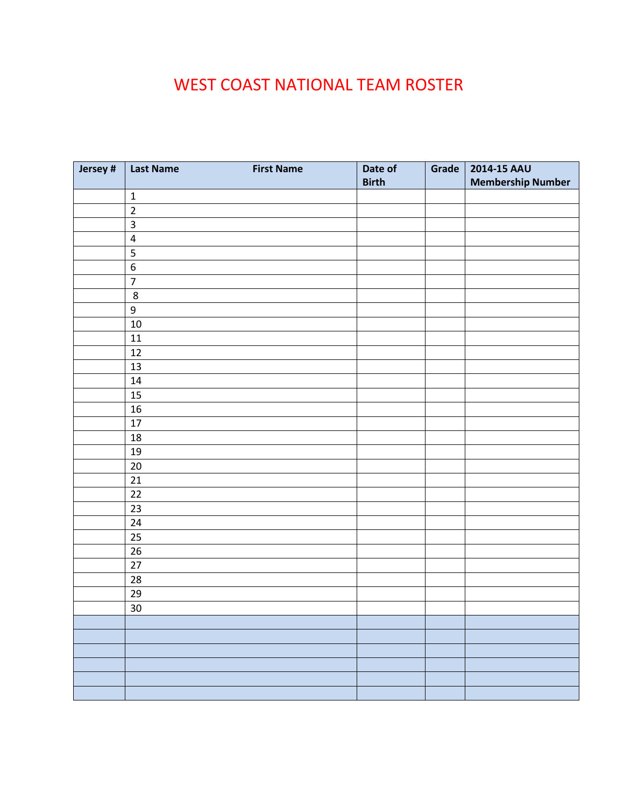## WEST COAST NATIONAL TEAM ROSTER

| Jersey # | <b>Last Name</b> | <b>First Name</b> | Date of      | Grade $ $ | 2014-15 AAU              |
|----------|------------------|-------------------|--------------|-----------|--------------------------|
|          |                  |                   | <b>Birth</b> |           | <b>Membership Number</b> |
|          | $\mathbf 1$      |                   |              |           |                          |
|          | $\mathbf 2$      |                   |              |           |                          |
|          | 3                |                   |              |           |                          |
|          | $\pmb{4}$        |                   |              |           |                          |
|          | 5                |                   |              |           |                          |
|          | $\boldsymbol{6}$ |                   |              |           |                          |
|          | $\overline{7}$   |                   |              |           |                          |
|          | $\bf 8$          |                   |              |           |                          |
|          | $\boldsymbol{9}$ |                   |              |           |                          |
|          | 10               |                   |              |           |                          |
|          | 11               |                   |              |           |                          |
|          | 12               |                   |              |           |                          |
|          | 13               |                   |              |           |                          |
|          | $14\,$           |                   |              |           |                          |
|          | 15               |                   |              |           |                          |
|          | 16               |                   |              |           |                          |
|          | 17               |                   |              |           |                          |
|          | 18               |                   |              |           |                          |
|          | 19               |                   |              |           |                          |
|          | 20               |                   |              |           |                          |
|          | 21               |                   |              |           |                          |
|          | 22               |                   |              |           |                          |
|          | 23               |                   |              |           |                          |
|          | 24               |                   |              |           |                          |
|          | 25               |                   |              |           |                          |
|          | $26\,$           |                   |              |           |                          |
|          | $27\,$           |                   |              |           |                          |
|          | 28               |                   |              |           |                          |
|          | 29               |                   |              |           |                          |
|          | $30\,$           |                   |              |           |                          |
|          |                  |                   |              |           |                          |
|          |                  |                   |              |           |                          |
|          |                  |                   |              |           |                          |
|          |                  |                   |              |           |                          |
|          |                  |                   |              |           |                          |
|          |                  |                   |              |           |                          |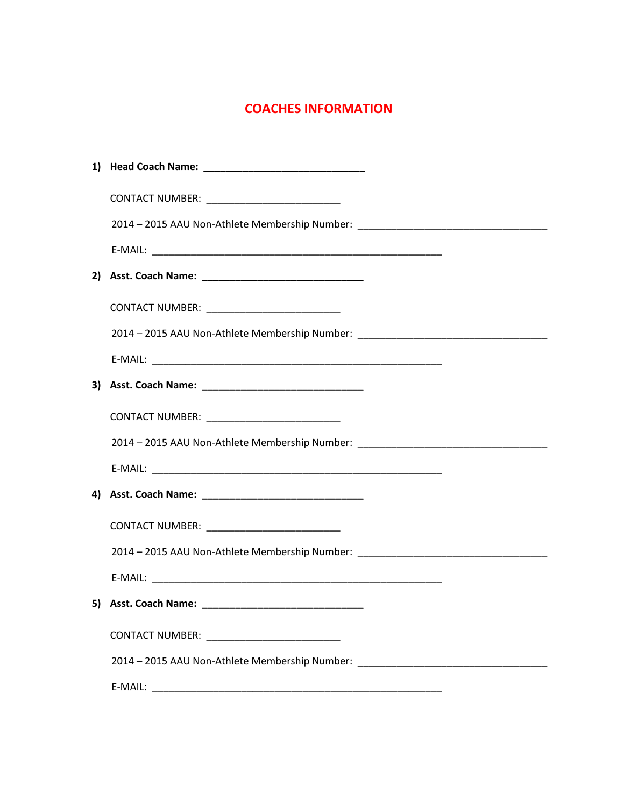## **COACHES INFORMATION**

| CONTACT NUMBER: __________________________                                       |  |  |
|----------------------------------------------------------------------------------|--|--|
| 2014 - 2015 AAU Non-Athlete Membership Number: _________________________________ |  |  |
|                                                                                  |  |  |
|                                                                                  |  |  |
| CONTACT NUMBER: ___________________________                                      |  |  |
| 2014 - 2015 AAU Non-Athlete Membership Number: _________________________________ |  |  |
|                                                                                  |  |  |
|                                                                                  |  |  |
|                                                                                  |  |  |
| 2014 - 2015 AAU Non-Athlete Membership Number: _________________________________ |  |  |
|                                                                                  |  |  |
|                                                                                  |  |  |
| CONTACT NUMBER: ____________________________                                     |  |  |
| 2014 - 2015 AAU Non-Athlete Membership Number: _________________________________ |  |  |
|                                                                                  |  |  |
|                                                                                  |  |  |
|                                                                                  |  |  |
| 2014 - 2015 AAU Non-Athlete Membership Number:                                   |  |  |
| E-MAIL:                                                                          |  |  |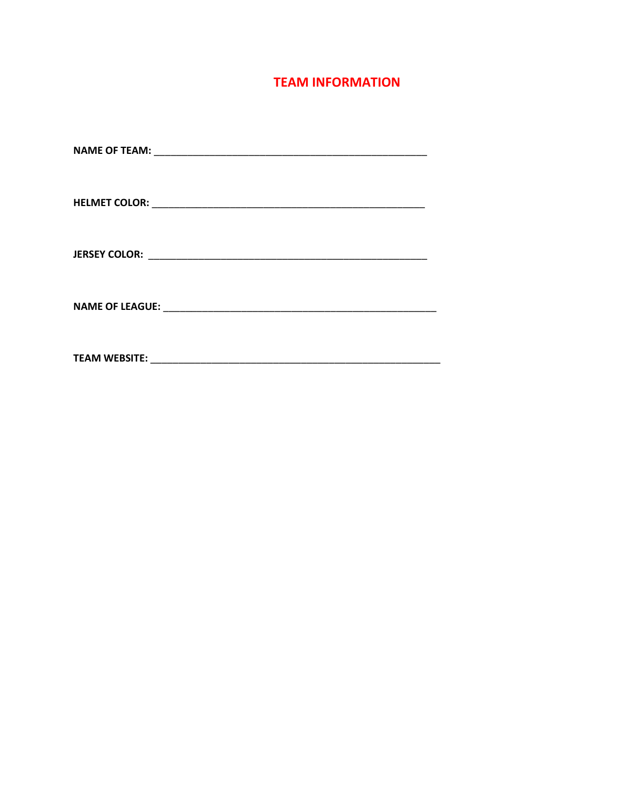## **TEAM INFORMATION**

| <b>TEAM WEBSITE:</b> |
|----------------------|